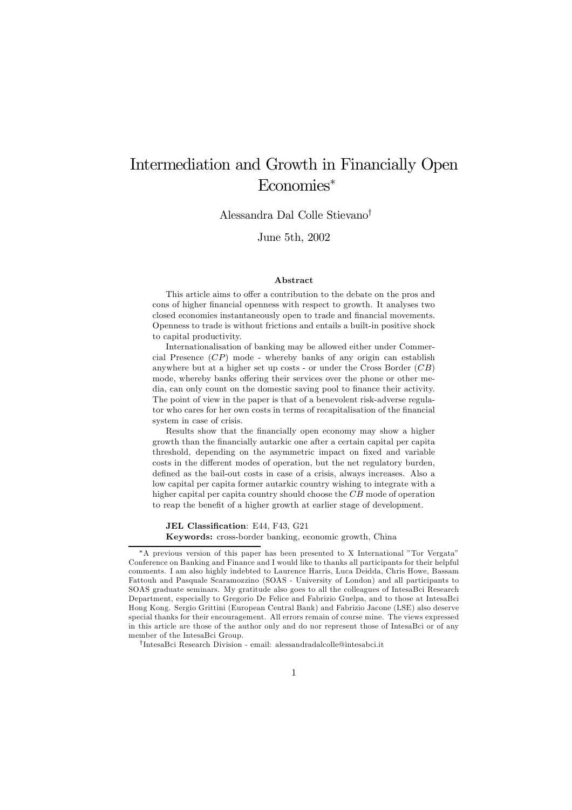# Intermediation and Growth in Financially Open Economies<sup>∗</sup>

Alessandra Dal Colle Stievano<sup>†</sup>

June 5th, 2002

#### Abstract

This article aims to offer a contribution to the debate on the pros and cons of higher financial openness with respect to growth. It analyses two closed economies instantaneously open to trade and financial movements. Openness to trade is without frictions and entails a built-in positive shock to capital productivity.

Internationalisation of banking may be allowed either under Commercial Presence (CP) mode - whereby banks of any origin can establish anywhere but at a higher set up costs - or under the Cross Border  $(CB)$ mode, whereby banks offering their services over the phone or other media, can only count on the domestic saving pool to finance their activity. The point of view in the paper is that of a benevolent risk-adverse regulator who cares for her own costs in terms of recapitalisation of the financial system in case of crisis.

Results show that the financially open economy may show a higher growth than the financially autarkic one after a certain capital per capita threshold, depending on the asymmetric impact on fixed and variable costs in the different modes of operation, but the net regulatory burden, defined as the bail-out costs in case of a crisis, always increases. Also a low capital per capita former autarkic country wishing to integrate with a higher capital per capita country should choose the CB mode of operation to reap the benefit of a higher growth at earlier stage of development.

JEL Classification: E44, F43, G21

Keywords: cross-border banking, economic growth, China

<sup>\*</sup>A previous version of this paper has been presented to X International "Tor Vergata" Conference on Banking and Finance and I would like to thanks all participants for their helpful comments. I am also highly indebted to Laurence Harris, Luca Deidda, Chris Howe, Bassam Fattouh and Pasquale Scaramozzino (SOAS - University of London) and all participants to SOAS graduate seminars. My gratitude also goes to all the colleagues of IntesaBci Research Department, especially to Gregorio De Felice and Fabrizio Guelpa, and to those at IntesaBci Hong Kong. Sergio Grittini (European Central Bank) and Fabrizio Jacone (LSE) also deserve special thanks for their encouragement. All errors remain of course mine. The views expressed in this article are those of the author only and do nor represent those of IntesaBci or of any member of the IntesaBci Group.

ÜIntesaBci Research Division - email: alessandradalcolle@intesabci.it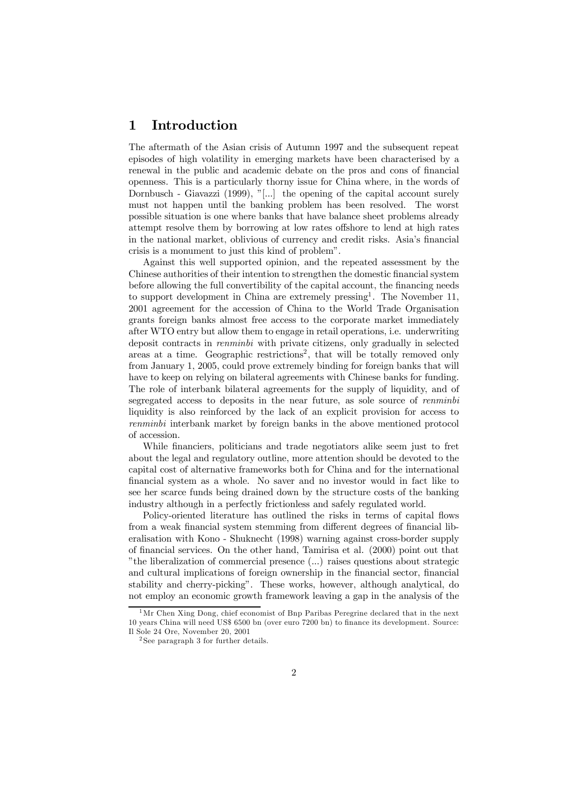### 1 Introduction

The aftermath of the Asian crisis of Autumn 1997 and the subsequent repeat episodes of high volatility in emerging markets have been characterised by a renewal in the public and academic debate on the pros and cons of financial openness. This is a particularly thorny issue for China where, in the words of Dornbusch - Giavazzi (1999), "[...] the opening of the capital account surely must not happen until the banking problem has been resolved. The worst possible situation is one where banks that have balance sheet problems already attempt resolve them by borrowing at low rates offshore to lend at high rates in the national market, oblivious of currency and credit risks. Asiaís financial crisis is a monument to just this kind of problemî.

Against this well supported opinion, and the repeated assessment by the Chinese authorities of their intention to strengthen the domestic financial system before allowing the full convertibility of the capital account, the financing needs to support development in China are extremely pressing<sup>1</sup>. The November 11, 2001 agreement for the accession of China to the World Trade Organisation grants foreign banks almost free access to the corporate market immediately after WTO entry but allow them to engage in retail operations, i.e. underwriting deposit contracts in renminbi with private citizens, only gradually in selected areas at a time. Geographic restrictions<sup>2</sup>, that will be totally removed only from January 1, 2005, could prove extremely binding for foreign banks that will have to keep on relying on bilateral agreements with Chinese banks for funding. The role of interbank bilateral agreements for the supply of liquidity, and of segregated access to deposits in the near future, as sole source of renminbi liquidity is also reinforced by the lack of an explicit provision for access to renminbi interbank market by foreign banks in the above mentioned protocol of accession.

While financiers, politicians and trade negotiators alike seem just to fret about the legal and regulatory outline, more attention should be devoted to the capital cost of alternative frameworks both for China and for the international financial system as a whole. No saver and no investor would in fact like to see her scarce funds being drained down by the structure costs of the banking industry although in a perfectly frictionless and safely regulated world.

Policy-oriented literature has outlined the risks in terms of capital flows from a weak financial system stemming from different degrees of financial liberalisation with Kono - Shuknecht (1998) warning against cross-border supply of financial services. On the other hand, Tamirisa et al. (2000) point out that  $\ddot{\ }$  the liberalization of commercial presence  $(\ldots)$  raises questions about strategic and cultural implications of foreign ownership in the financial sector, financial stability and cherry-pickingî. These works, however, although analytical, do not employ an economic growth framework leaving a gap in the analysis of the

<sup>&</sup>lt;sup>1</sup>Mr Chen Xing Dong, chief economist of Bnp Paribas Peregrine declared that in the next 10 years China will need US\$ 6500 bn (over euro 7200 bn) to finance its development. Source: Il Sole 24 Ore, November 20, 2001

<sup>2</sup> See paragraph 3 for further details.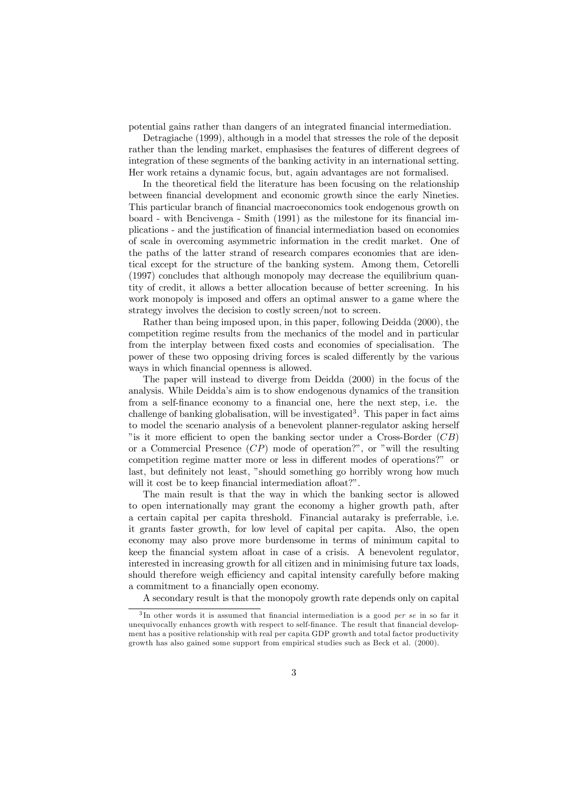potential gains rather than dangers of an integrated financial intermediation.

Detragiache (1999), although in a model that stresses the role of the deposit rather than the lending market, emphasises the features of different degrees of integration of these segments of the banking activity in an international setting. Her work retains a dynamic focus, but, again advantages are not formalised.

In the theoretical field the literature has been focusing on the relationship between financial development and economic growth since the early Nineties. This particular branch of financial macroeconomics took endogenous growth on board - with Bencivenga - Smith (1991) as the milestone for its financial implications - and the justification of financial intermediation based on economies of scale in overcoming asymmetric information in the credit market. One of the paths of the latter strand of research compares economies that are identical except for the structure of the banking system. Among them, Cetorelli (1997) concludes that although monopoly may decrease the equilibrium quantity of credit, it allows a better allocation because of better screening. In his work monopoly is imposed and offers an optimal answer to a game where the strategy involves the decision to costly screen/not to screen.

Rather than being imposed upon, in this paper, following Deidda (2000), the competition regime results from the mechanics of the model and in particular from the interplay between fixed costs and economies of specialisation. The power of these two opposing driving forces is scaled differently by the various ways in which financial openness is allowed.

The paper will instead to diverge from Deidda (2000) in the focus of the analysis. While Deiddaís aim is to show endogenous dynamics of the transition from a self-finance economy to a financial one, here the next step, i.e. the challenge of banking globalisation, will be investigated<sup>3</sup>. This paper in fact aims to model the scenario analysis of a benevolent planner-regulator asking herself "is it more efficient to open the banking sector under a Cross-Border  $(CB)$ or a Commercial Presence  $(CP)$  mode of operation?", or "will the resulting competition regime matter more or less in different modes of operations?" or last, but definitely not least, "should something go horribly wrong how much will it cost be to keep financial intermediation afloat?".

The main result is that the way in which the banking sector is allowed to open internationally may grant the economy a higher growth path, after a certain capital per capita threshold. Financial autaraky is preferrable, i.e. it grants faster growth, for low level of capital per capita. Also, the open economy may also prove more burdensome in terms of minimum capital to keep the financial system afloat in case of a crisis. A benevolent regulator, interested in increasing growth for all citizen and in minimising future tax loads, should therefore weigh efficiency and capital intensity carefully before making a commitment to a financially open economy.

A secondary result is that the monopoly growth rate depends only on capital

 $3$ In other words it is assumed that financial intermediation is a good *per se* in so far it unequivocally enhances growth with respect to self-finance. The result that financial development has a positive relationship with real per capita GDP growth and total factor productivity growth has also gained some support from empirical studies such as Beck et al. (2000).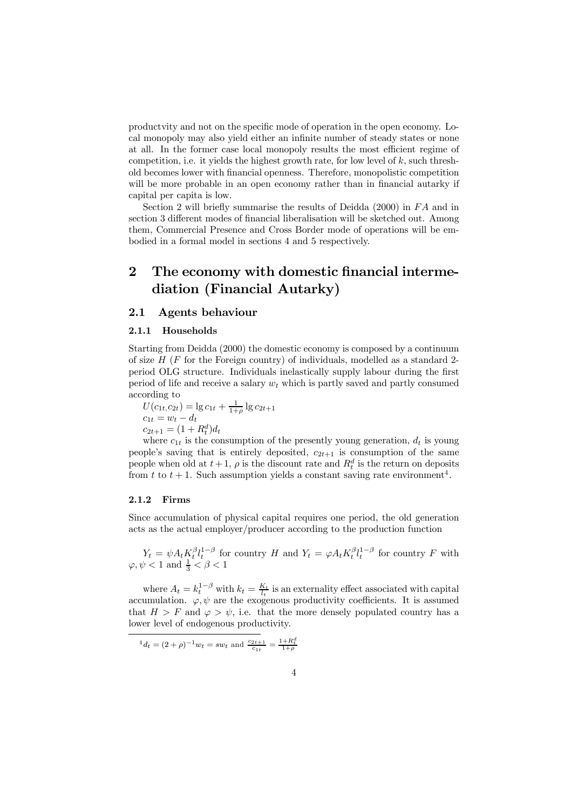productvity and not on the specific mode of operation in the open economy. Local monopoly may also yield either an infinite number of steady states or none at all. In the former case local monopoly results the most efficient regime of competition, i.e. it yields the highest growth rate, for low level of  $k$ , such threshold becomes lower with financial openness. Therefore, monopolistic competition will be more probable in an open economy rather than in financial autarky if capital per capita is low.

Section 2 will briefly summarise the results of Deidda  $(2000)$  in  $FA$  and in section 3 different modes of financial liberalisation will be sketched out. Among them, Commercial Presence and Cross Border mode of operations will be embodied in a formal model in sections 4 and 5 respectively.

## 2 The economy with domestic financial intermediation (Financial Autarky)

#### 2.1 Agents behaviour

#### 2.1.1 Households

Starting from Deidda (2000) the domestic economy is composed by a continuum of size  $H$  (F for the Foreign country) of individuals, modelled as a standard 2period OLG structure. Individuals inelastically supply labour during the first period of life and receive a salary  $w_t$  which is partly saved and partly consumed according to

 $U(c_{1t}, c_{2t}) = \lg c_{1t} + \frac{1}{1+\rho} \lg c_{2t+1}$  $c_{1t} = w_t - d_t$  $c_{2t+1} = (1 + R_t^d)d_t$ 

where  $c_{1t}$  is the consumption of the presently young generation,  $d_t$  is young people's saving that is entirely deposited,  $c_{2t+1}$  is consumption of the same people when old at  $t + 1$ ,  $\rho$  is the discount rate and  $R_t^d$  is the return on deposits from t to  $t + 1$ . Such assumption yields a constant saving rate environment<sup>4</sup>.

#### 2.1.2 Firms

Since accumulation of physical capital requires one period, the old generation acts as the actual employer/producer according to the production function

 $Y_t = \psi A_t K_t^{\beta} l_t^{1-\beta}$  for country H and  $Y_t = \varphi A_t K_t^{\beta} l_t^{1-\beta}$  for country F with  $\varphi, \psi < 1$  and  $\frac{1}{3} < \beta < 1$ 

where  $A_t = k_t^{1-\beta}$  with  $k_t = \frac{K_t}{l_t}$  is an externality effect associated with capital accumulation.  $\varphi, \psi$  are the exogenous productivity coefficients. It is assumed that  $H>F$  and  $\varphi > \psi$ , i.e. that the more densely populated country has a lower level of endogenous productivity.

$$
{}^{4}d_{t} = (2+\rho)^{-1}w_{t} = sw_{t}
$$
 and  $\frac{c_{2t+1}}{c_{1t}} = \frac{1+R_{t}^{d}}{1+\rho}$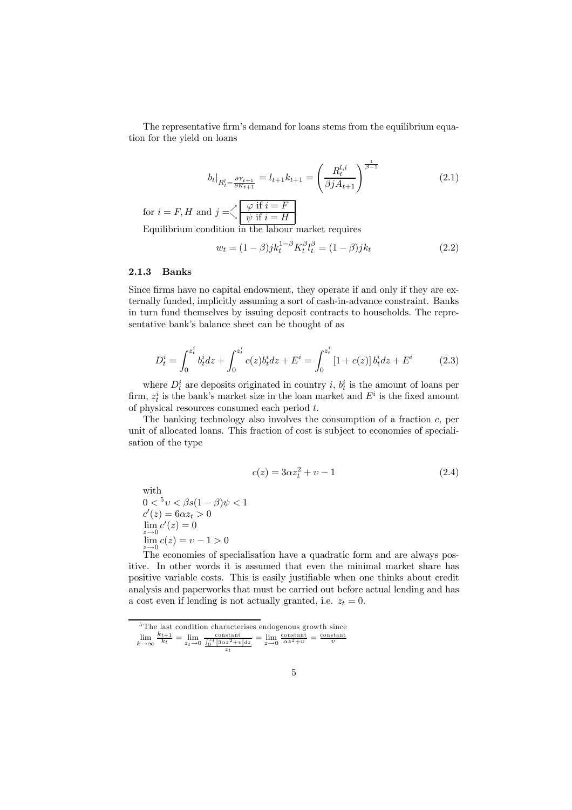The representative firm's demand for loans stems from the equilibrium equation for the yield on loans

$$
b_t|_{R_t^l = \frac{\partial Y_{t+1}}{\partial K_{t+1}}} = l_{t+1}k_{t+1} = \left(\frac{R_t^{l,i}}{\beta j A_{t+1}}\right)^{\frac{1}{\beta - 1}}
$$
\n(2.1)

for  $i = F, H$  and  $j = \n\begin{cases} \n\end{cases}$  $\varphi$  if  $i=F$  $\psi$  if  $i = H$ Equilibrium condition in the labour market requires

$$
w_t = (1 - \beta)jk_t^{1 - \beta} K_t^{\beta} l_t^{\beta} = (1 - \beta)jk_t
$$
\n(2.2)

#### 2.1.3 Banks

Since firms have no capital endowment, they operate if and only if they are externally funded, implicitly assuming a sort of cash-in-advance constraint. Banks in turn fund themselves by issuing deposit contracts to households. The representative bank's balance sheet can be thought of as

$$
D_t^i = \int_0^{z_t^i} b_t^i dz + \int_0^{z_t^i} c(z) b_t^i dz + E^i = \int_0^{z_t^i} [1 + c(z)] b_t^i dz + E^i \tag{2.3}
$$

where  $D_t^i$  are deposits originated in country i,  $b_t^i$  is the amount of loans per firm,  $z_t^i$  is the bank's market size in the loan market and  $E^i$  is the fixed amount of physical resources consumed each period t.

The banking technology also involves the consumption of a fraction c, per unit of allocated loans. This fraction of cost is subject to economies of specialisation of the type

$$
c(z) = 3\alpha z_t^2 + v - 1\tag{2.4}
$$

with  $0 <sup>5</sup> v < \beta s (1 - \beta) \psi < 1$  $c'(z) = 6\alpha z_t > 0$  $\lim_{z\to 0}c'(z)=0$  $\lim_{z \to 0} c(z) = v - 1 > 0$ 

The economies of specialisation have a quadratic form and are always positive. In other words it is assumed that even the minimal market share has positive variable costs. This is easily justifiable when one thinks about credit analysis and paperworks that must be carried out before actual lending and has a cost even if lending is not actually granted, i.e.  $z_t = 0$ .

<sup>&</sup>lt;sup>5</sup>The last condition characterises endogenous growth since

 $\lim_{k\to\infty}$  $\frac{k_{t+1}}{k_t} = \lim_{z_t \to 0} \frac{\frac{\text{constant}}{\int_0^{z_t} [\frac{3\alpha z^2 + v}{\alpha z^2 + v}] dz}}{z_t} = \lim_{z \to 0} \frac{\frac{\text{constant}}{\alpha z^2 + v}}{z^2 + v} = \frac{\text{constant}}{v}$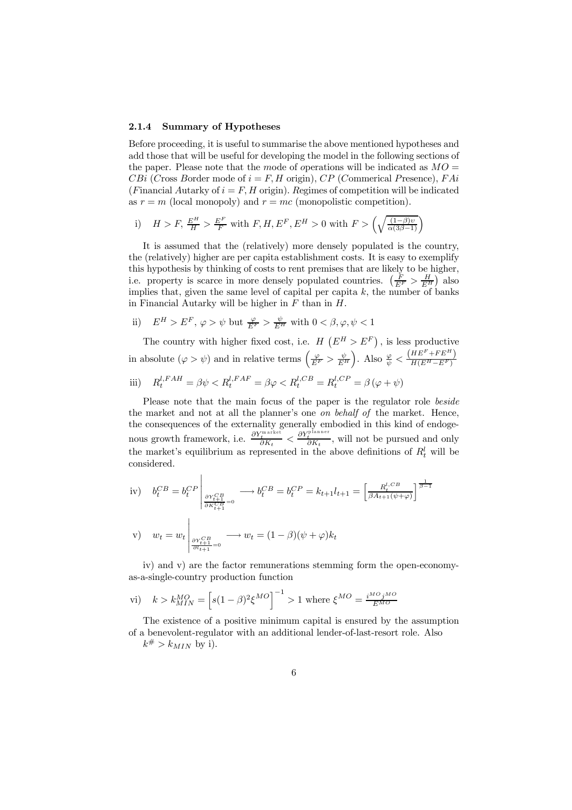#### 2.1.4 Summary of Hypotheses

Before proceeding, it is useful to summarise the above mentioned hypotheses and add those that will be useful for developing the model in the following sections of the paper. Please note that the mode of operations will be indicated as  $MO =$ CBi (Cross Border mode of  $i = F, H$  origin), CP (Commerical Presence), FAi (Financial Autarky of  $i = F, H$  origin). Regimes of competition will be indicated as  $r = m$  (local monopoly) and  $r = mc$  (monopolistic competition).

i) 
$$
H > F
$$
,  $\frac{E^H}{H} > \frac{E^F}{F}$  with  $F, H, E^F, E^H > 0$  with  $F > \left(\sqrt{\frac{(1-\beta)v}{\alpha(3\beta-1)}}\right)$ 

It is assumed that the (relatively) more densely populated is the country, the (relatively) higher are per capita establishment costs. It is easy to exemplify this hypothesis by thinking of costs to rent premises that are likely to be higher, i.e. property is scarce in more densely populated countries.  $\left(\frac{F}{E^F} > \frac{H}{E^H}\right)$  also implies that, given the same level of capital per capita  $k$ , the number of banks in Financial Autarky will be higher in  $F$  than in  $H$ .

ii)  $E^H > E^F$ ,  $\varphi > \psi$  but  $\frac{\varphi}{E^F} > \frac{\psi}{E^H}$  with  $0 < \beta, \varphi, \psi < 1$ 

The country with higher fixed cost, i.e.  $H\left(E^H>E^F\right)$ , is less productive in absolute  $(\varphi > \psi)$  and in relative terms  $\left(\frac{\varphi}{E^F} > \frac{\psi}{E^H}\right)$ ). Also  $\frac{\varphi}{\psi} < \frac{(HE^F + FE^H)}{H(E^H - E^F)}$ iii)  $R_t^{l,FAH} = \beta \psi \langle R_t^{l,FAF} = \beta \varphi \langle R_t^{l,CB} = R_t^{l,CP} = \beta (\varphi + \psi)$ 

Please note that the main focus of the paper is the regulator role beside the market and not at all the planner's one *on behalf of* the market. Hence, the consequences of the externality generally embodied in this kind of endogenous growth framework, i.e.  $\frac{\partial Y_t^{\text{parameter}}}{\partial K_t} < \frac{\partial Y_t^{\text{parameter}}}{\partial K_t}$ , will not be pursued and only the market's equilibrium as represented in the above definitions of  $R_t^l$  will be considered.

iv) 
$$
b_t^{CB} = b_t^{CP} \Big|_{\substack{\partial Y_{t+1}^{CB} \\ \partial K_{t+1}^{CB}}} \longrightarrow b_t^{CB} = b_t^{CP} = k_{t+1}l_{t+1} = \left[\frac{R_t^{l,CB}}{\beta A_{t+1}(\psi+\varphi)}\right]^{\frac{1}{\beta-1}}
$$
  
\nv)  $w_t = w_t \Big|_{\substack{\partial Y_{t+1}^{CB} \\ \partial I_{t+1}=0}} \longrightarrow w_t = (1-\beta)(\psi+\varphi)k_t$ 

iv) and v) are the factor remunerations stemming form the open-economyas-a-single-country production function

vi) 
$$
k > k_{MIN}^{MO} = \left[s(1-\beta)^2 \xi^{MO}\right]^{-1} > 1
$$
 where  $\xi^{MO} = \frac{i^{MO} j^{MO}}{E^{MO}}$ 

The existence of a positive minimum capital is ensured by the assumption of a benevolent-regulator with an additional lender-of-last-resort role. Also  $k^{\#} > k_{MIN}$  by i).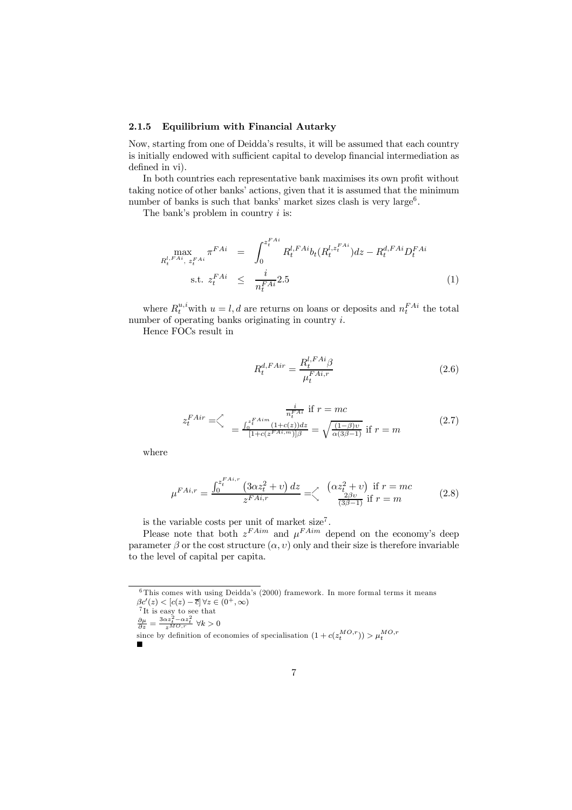#### 2.1.5 Equilibrium with Financial Autarky

Now, starting from one of Deiddaís results, it will be assumed that each country is initially endowed with sufficient capital to develop financial intermediation as defined in vi).

In both countries each representative bank maximises its own profit without taking notice of other banks' actions, given that it is assumed that the minimum number of banks is such that banks' market sizes clash is very large<sup>6</sup>.

The bank's problem in country  $i$  is:

$$
\max_{R_t^{l,FAi}, z_t^{FAi}} \pi^{FAi} = \int_0^{z_t^{FAi}} R_t^{l,FAi} b_t (R_t^{l,z_t^{FAi}}) dz - R_t^{d,FAi} D_t^{FAi}
$$
\n
$$
\text{s.t. } z_t^{FAi} \le \frac{i}{n_t^{FAi}} 2.5 \tag{1}
$$

where  $R_t^{u,i}$  with  $u = l, d$  are returns on loans or deposits and  $n_t^{FAi}$  the total number of operating banks originating in country i.

Hence FOCs result in

$$
R_t^{d,FAir} = \frac{R_t^{l,FAi}\beta}{\mu_t^{FAi,r}}
$$
\n
$$
(2.6)
$$

$$
z_t^{FAir} = \stackrel{\nearrow}{\searrow} \quad \frac{\frac{i}{n_t^{FAir}} \text{ if } r = mc}{\frac{\int_0^{z_t^{FAim}} (1 + c(z))dz}{[1 + c(z^F A^{i,m})] \beta}} = \sqrt{\frac{(1 - \beta)v}{\alpha(3\beta - 1)}} \text{ if } r = m \tag{2.7}
$$

where

$$
\mu^{FAi,r} = \frac{\int_0^{z_t^{FAi,r}} (3\alpha z_t^2 + v) dz}{z^{FAi,r}} = \left\langle \begin{array}{c} (\alpha z_t^2 + v) \text{ if } r = mc\\ \frac{2\beta v}{(3\beta - 1)} \text{ if } r = m \end{array} \right. \tag{2.8}
$$

is the variable costs per unit of market size7 .

Please note that both  $z^{FAim}$  and  $u^{FAim}$  depend on the economy's deep parameter  $\beta$  or the cost structure  $(\alpha, v)$  only and their size is therefore invariable to the level of capital per capita.

$$
\frac{\partial \mu}{\partial z} = \frac{3\alpha z_t^2 - \alpha z_t^2}{z^{MO,r}} \quad \forall k > 0
$$

$$
\frac{\partial \mu}{\partial z} = \frac{\partial \alpha z_t - \alpha z_t}{z^{MO}, r} \quad \forall k > 0
$$

since by definition of economics of specialization 
$$
(1 + c(z_t^{MO,r})) > \mu_t^{MO,r}
$$

 $6$ This comes with using Deidda's (2000) framework. In more formal terms it means

 $\beta c'(z) < [c(z) - \overline{c}] \,\forall z \in (0^+, \infty)$ <br><sup>7</sup>It is easy to see that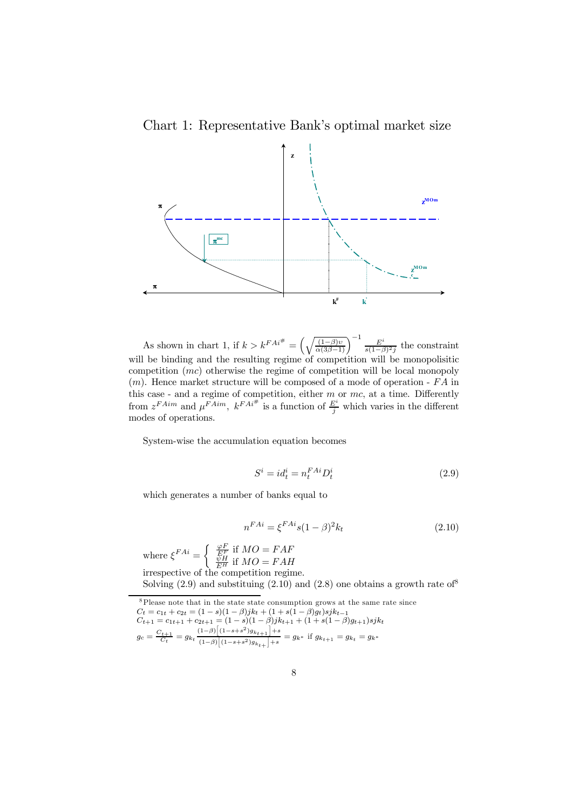Chart 1: Representative Bank's optimal market size



As shown in chart 1, if  $k > k^{FA_i^{\#}} = \left(\sqrt{\frac{(1-\beta)v}{\alpha(3\beta-1)}}\right)^{-1} \frac{E^i}{s(1-\beta)^2}$  the constraint will be binding and the resulting regime of competition will be monopolisitic competition (mc) otherwise the regime of competition will be local monopoly  $(m)$ . Hence market structure will be composed of a mode of operation -  $FA$  in this case - and a regime of competition, either  $m$  or  $mc$ , at a time. Differently from  $z^{FAim}$  and  $\mu^{FAim}$ ,  $k^{FA^{i#}}$  is a function of  $\frac{E^i}{j}$  which varies in the different modes of operations.

System-wise the accumulation equation becomes

$$
S^i = id_t^i = n_t^{FAi} D_t^i \tag{2.9}
$$

which generates a number of banks equal to

$$
n^{FAi} = \xi^{FAi} s (1 - \beta)^2 k_t
$$
 (2.10)

where  $\xi^{FAi} = \begin{cases} \frac{\varphi F}{EF} & \text{if } MO = FAF \\ \frac{\psi H}{EF} & \text{if } MO = FAH \end{cases}$ irrespective of the competition regime. Solving  $(2.9)$  and substituing  $(2.10)$  and  $(2.8)$  one obtains a growth rate of

8Please note that in the state state consumption grows at the same rate since  $C_t = c_{1t} + c_{2t} = (1 - s)(1 - \beta)jk_t + (1 + s(1 - \beta)g_t)sjk_{t-1}$  $C_{t+1} = c_{1t+1} + c_{2t+1} = (1 - s)(1 - \beta)jk_{t+1} + (1 + s(1 - \beta)g_{t+1})sjkt_{t+1}$  $g_c = \frac{C_{t+1}}{C_t} = g_{k_t} \frac{(1-\beta)\left[(1-s+s^2)g_{k_{t+1}}\right]+s}{(1-\beta)\left[(1-s+s^2)g_{k_{t+1}}\right]+s}$  $\frac{(1-\beta)\left[(1-s+s^2)g_{k+t+1}\right]+s}{(1-\beta)\left[(1-s+s^2)g_{k+t+1}\right]+s} = g_{k^*}$  if  $g_{k+t+1} = g_{k^*} = g_{k^*}$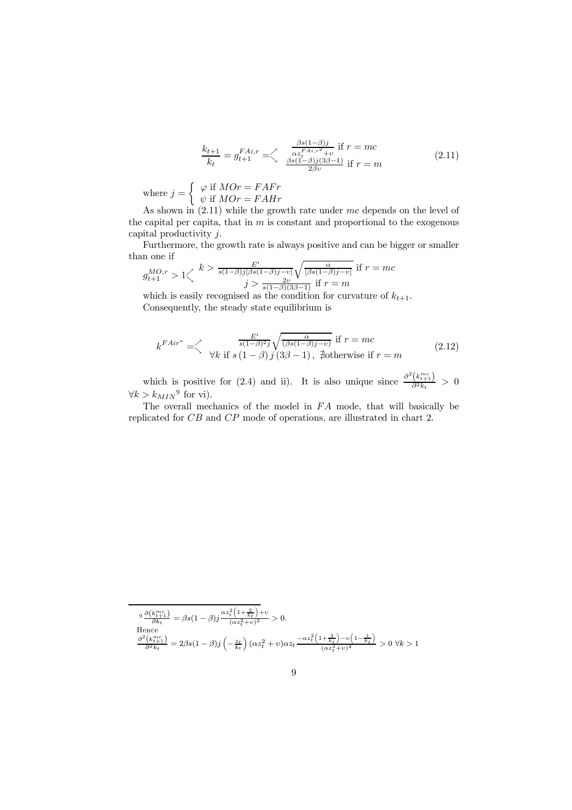$$
\frac{k_{t+1}}{k_t} = g_{t+1}^{FAi,r} = \begin{cases} \frac{\beta s(1-\beta)j}{\alpha z_t^{FAi,r^2} + v} & \text{if } r = mc\\ \frac{\beta s(1-\beta)j(3\beta-1)}{2\beta v} & \text{if } r = m \end{cases}
$$
(2.11)

where  $j = \begin{cases} \varphi & \text{if } MOr = FAFr \\ \psi & \text{if } MOr = FAFr \end{cases}$  $\psi$  if  $MOr = FAHr$ 

As shown in  $(2.11)$  while the growth rate under mc depends on the level of the capital per capita, that in  $m$  is constant and proportional to the exogenous capital productivity j.

Furthermore, the growth rate is always positive and can be bigger or smaller than one if

$$
g_{t+1}^{MO,r} > 1 \Big\langle k \Big\rangle \frac{E^i}{s(1-\beta)j[\beta s(1-\beta)j-v]} \sqrt{\frac{\alpha}{[\beta s(1-\beta)j-v]}} \text{ if } r = mc
$$

which is easily recognised as the condition for curvature of  $k_{t+1}$ . Consequently, the steady state equilibrium is

$$
k^{FAir^*} = \left\langle \begin{array}{c} \frac{E^i}{s(1-\beta)^2 j} \sqrt{\frac{\alpha}{(\beta s(1-\beta)j - v)}} \text{ if } r = mc\\ \forall k \text{ if } s \left(1 - \beta\right) j \left(3\beta - 1\right), \text{ } \nexists \text{ otherwise if } r = m \end{array} \right. \tag{2.12}
$$

which is positive for (2.4) and ii). It is also unique since  $\frac{\partial^2 (k_{t+1}^{mc})}{\partial^2 k_t} > 0$  $\forall k > k_{MIN}^9$  for vi).

The overall mechanics of the model in  $FA$  mode, that will basically be replicated for CB and CP mode of operations, are illustrated in chart 2.

$$
\frac{9}{\theta k_t} \frac{\partial (k_{t+1}^{mc})}{\partial k_t} = \beta s (1-\beta) j \frac{\alpha z_t^2 \left(1 + \frac{2}{k_t}\right) + v}{(\alpha z_t^2 + v)^2} > 0.
$$
  
Hence  

$$
\frac{\partial^2 (k_{t+1}^{mc})}{\partial^2 k_t} = 2\beta s (1-\beta) j \left(-\frac{z_t}{k_t}\right) (\alpha z_t^2 + v) \alpha z_t \frac{-\alpha z_t^2 \left(1 + \frac{3}{k_t}\right) - v \left(1 - \frac{1}{k_t}\right)}{(\alpha z_t^2 + v)^4} > 0 \ \forall k > 1
$$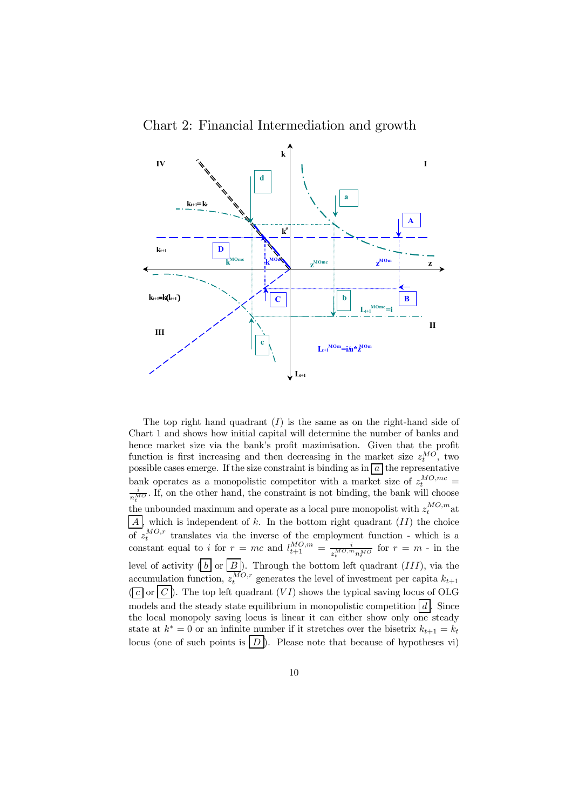Chart 2: Financial Intermediation and growth



The top right hand quadrant  $(I)$  is the same as on the right-hand side of Chart 1 and shows how initial capital will determine the number of banks and hence market size via the bank's profit mazimisation. Given that the profit function is first increasing and then decreasing in the market size  $z_t^{MO}$ , two possible cases emerge. If the size constraint is binding as  $\ln |a|$  the representative bank operates as a monopolistic competitor with a market size of  $z_t^{MO,mc} = \frac{i}{\epsilon}$ . If on the other hand the constraint is not binding, the bank will choose  $\frac{i}{n_t^{M_O}}$ . If, on the other hand, the constraint is not binding, the bank will choose the unbounded maximum and operate as a local pure monopolist with  $z_t^{MO,m}$  at  $\overline{A}$ , which is independent of k. In the bottom right quadrant  $(II)$  the choice of  $z_t^{MO,r}$  translates via the inverse of the employment function - which is a constant equal to i for  $r = mc$  and  $l_{t+1}^{MO,m} = \frac{i}{z_t^{MO,m}n_t^{MO}}$  for  $r = m$  - in the level of activity  $( \nvert b \rvert \text{ or } \rvert B \rvert ).$  Through the bottom left quadrant  $(III),$  via the accumulation function,  $z_t^{MO,r}$  generates the level of investment per capita  $k_{t+1}$  $(\lceil c \rceil)$ . The top left quadrant  $(VI)$  shows the typical saving locus of OLG models and the steady state equilibrium in monopolistic competition  $\lfloor d \rfloor$ . Since the local monopoly saving locus is linear it can either show only one steady state at  $k^* = 0$  or an infinite number if it stretches over the bisetrix  $k_{t+1} = k_t$ locus (one of such points is  $\boxed{D}$ ). Please note that because of hypotheses vi)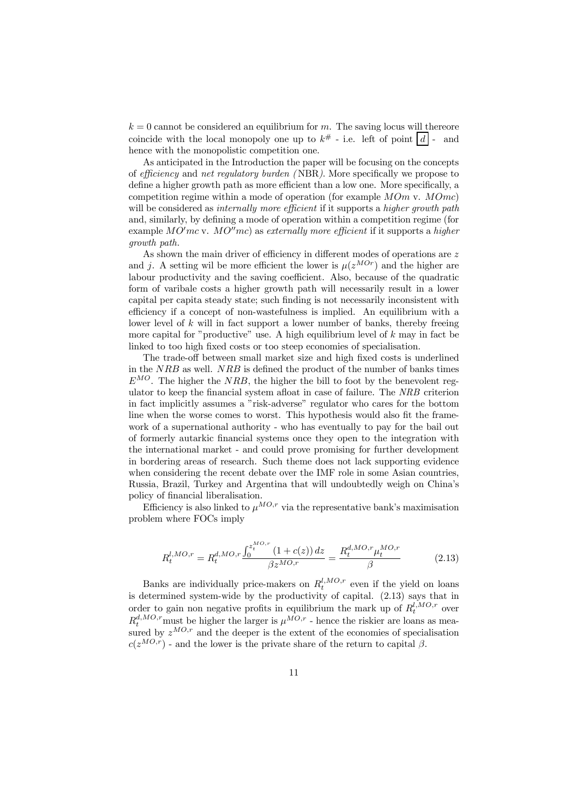$k = 0$  cannot be considered an equilibrium for m. The saving locus will thereore coincide with the local monopoly one up to  $k^{\#}$  - i.e. left of point  $|d|$  - and hence with the monopolistic competition one.

As anticipated in the Introduction the paper will be focusing on the concepts of efficiency and net regulatory burden ( NBR). More specifically we propose to define a higher growth path as more efficient than a low one. More specifically, a competition regime within a mode of operation (for example  $MOm$  v.  $MOmc)$ ) will be considered as *internally more efficient* if it supports a *higher growth path* and, similarly, by defining a mode of operation within a competition regime (for example  $MO'mc$  v.  $MO''mc$  as externally more efficient if it supports a higher growth path.

As shown the main driver of efficiency in different modes of operations are z and j. A setting wil be more efficient the lower is  $\mu(z^{MOr})$  and the higher are labour productivity and the saving coefficient. Also, because of the quadratic form of varibale costs a higher growth path will necessarily result in a lower capital per capita steady state; such finding is not necessarily inconsistent with efficiency if a concept of non-wastefulness is implied. An equilibrium with a lower level of  $k$  will in fact support a lower number of banks, thereby freeing more capital for "productive" use. A high equilibrium level of  $k$  may in fact be linked to too high fixed costs or too steep economies of specialisation.

The trade-off between small market size and high fixed costs is underlined in the NRB as well. NRB is defined the product of the number of banks times  $E^{MO}$ . The higher the NRB, the higher the bill to foot by the benevolent regulator to keep the financial system afloat in case of failure. The NRB criterion in fact implicitly assumes a "risk-adverse" regulator who cares for the bottom line when the worse comes to worst. This hypothesis would also fit the framework of a supernational authority - who has eventually to pay for the bail out of formerly autarkic financial systems once they open to the integration with the international market - and could prove promising for further development in bordering areas of research. Such theme does not lack supporting evidence when considering the recent debate over the IMF role in some Asian countries, Russia, Brazil, Turkey and Argentina that will undoubtedly weigh on Chinaís policy of financial liberalisation.

Efficiency is also linked to  $\mu^{MO,r}$  via the representative bank's maximisation problem where FOCs imply

$$
R_t^{l,MO,r} = R_t^{d,MO,r} \frac{\int_0^{z_t^{MO,r}} (1 + c(z)) dz}{\beta z^{MO,r}} = \frac{R_t^{d,MO,r} \mu_t^{MO,r}}{\beta} \tag{2.13}
$$

Banks are individually price-makers on  $R_t^{l,MO,r}$  even if the yield on loans is determined system-wide by the productivity of capital. (2.13) says that in order to gain non negative profits in equilibrium the mark up of  $R_t^{l,MO,r}$  over  $R_t^{d,MO,r}$  must be higher the larger is  $\mu^{MO,r}$  - hence the riskier are loans as measured by  $z^{MO,r}$  and the deeper is the extent of the economies of specialisation  $c(z^{MO,r})$  - and the lower is the private share of the return to capital  $\beta$ .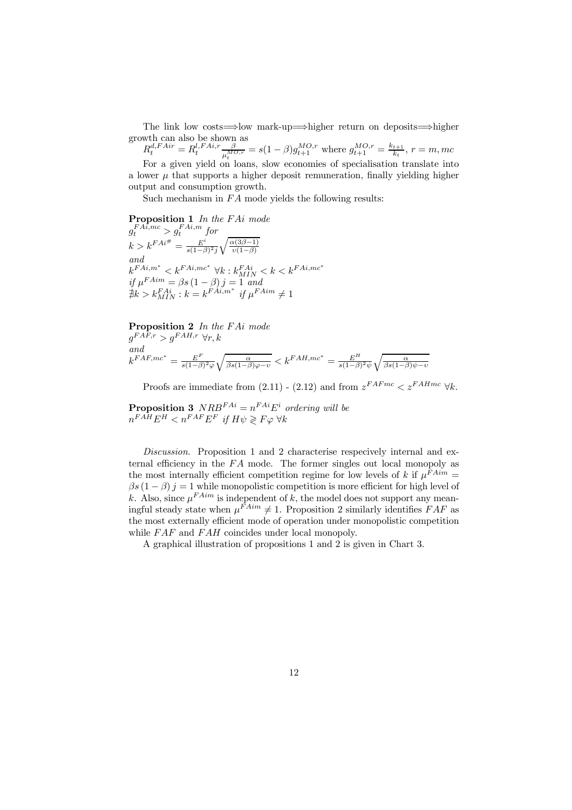The link low costs=⇒low mark-up=⇒higher return on deposits=⇒higher growth can also be shown as

 $R_t^{d,FAir} = R_t^{l,FAi,r} \frac{\beta}{\mu_t^{MO,r}} = s(1-\beta)g_{t+1}^{MO,r}$  where  $g_{t+1}^{MO,r} = \frac{k_{t+1}}{k_t}$ ,  $r = m, mc$ For a given yield on loans, slow economies of specialisation translate into a lower  $\mu$  that supports a higher deposit remuneration, finally yielding higher output and consumption growth.

Such mechanism in  $FA$  mode yields the following results:

Proposition 1 In the FAi mode  $g_t^{FA\bar{i},mc} > g_t^{FAi,m}$  for  $k > k^{FAi^{\#}} = \frac{E^i}{s(1-\beta)^2j}$  $\sqrt{\frac{\alpha(3\beta-1)}{n}}$  $v(1-\beta)$ and  $k^{FAi,m^*} < k^{FAi,mc^*}$   $\forall k : k^{FAi}_{MIN} < k < k^{FAi,mc^*}$  $\inf_{\mathcal{F}} \mu^{FAim} = \beta s \left(1 - \beta\right) j = 1$  and  $\sharp k > k_{MIN}^{FAi}$ :  $k = k^{FAi,m^*}$  if  $\mu^{FAim} \neq 1$ 

Proposition 2 In the FAi mode  $q^{FAF,r} > q^{FAH,r} \forall r, k$ and  $k^{FAF, mc^*} = \frac{E^F}{s(1-\beta)^2 \varphi}$  $\sqrt{\frac{\alpha}{\beta s(1-\beta)\varphi-v}} < k^{FAH,mc^*} = \frac{E^H}{s(1-\beta)^2\psi}$  $\sqrt{\alpha}$  $\beta s(1-\beta)\psi-v$ 

Proofs are immediate from (2.11) - (2.12) and from  $z^{FAFmc} < z^{FAHmc} \forall k$ .

**Proposition 3**  $NRB^{FAi} = n^{FAi}E^i$  ordering will be  $n^{FAH}E^H < n^{FAF}E^F$  if  $H\psi \geqslant F\varphi \,\forall k$ 

Discussion. Proposition 1 and 2 characterise respecively internal and external efficiency in the  $FA$  mode. The former singles out local monopoly as the most internally efficient competition regime for low levels of k if  $\mu^{FAim} =$  $\beta s (1 - \beta) j = 1$  while monopolistic competition is more efficient for high level of k. Also, since  $\mu^{FAim}$  is independent of k, the model does not support any meaningful steady state when  $\mu^{\vec{F}Aim} \neq 1$ . Proposition 2 similarly identifies  $FAF$  as the most externally efficient mode of operation under monopolistic competition while  $FAF$  and  $FAH$  coincides under local monopoly.

A graphical illustration of propositions 1 and 2 is given in Chart 3.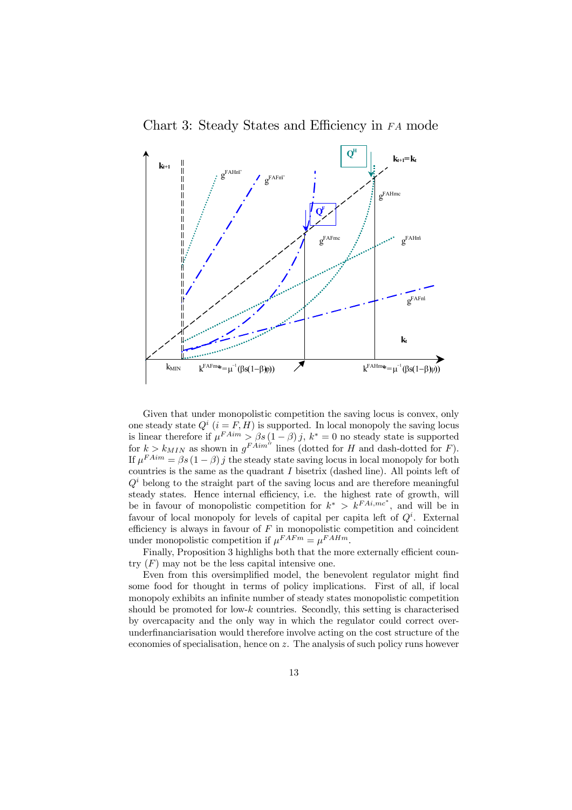



Given that under monopolistic competition the saving locus is convex, only one steady state  $Q^i$  ( $i = F, H$ ) is supported. In local monopoly the saving locus is linear therefore if  $\mu^{FAim} > \beta s (1 - \beta) j$ ,  $k^* = 0$  no steady state is supported for  $k>k_{MIN}$  as shown in  $g<sup>FAim</sup>$  lines (dotted for H and dash-dotted for F). If  $\mu^{FAim} = \beta s (1 - \beta) j$  the steady state saving locus in local monopoly for both countries is the same as the quadrant  $I$  bisetrix (dashed line). All points left of  $Q<sup>i</sup>$  belong to the straight part of the saving locus and are therefore meaningful steady states. Hence internal efficiency, i.e. the highest rate of growth, will be in favour of monopolistic competition for  $k^* > k^{FAi, mc^*}$ , and will be in favour of local monopoly for levels of capital per capita left of  $Q<sup>i</sup>$ . External efficiency is always in favour of  $F$  in monopolistic competition and coincident under monopolistic competition if  $\mu^{FAFm} = \mu^{FAHm}$ .

Finally, Proposition 3 highlighs both that the more externally efficient country  $(F)$  may not be the less capital intensive one.

Even from this oversimplified model, the benevolent regulator might find some food for thought in terms of policy implications. First of all, if local monopoly exhibits an infinite number of steady states monopolistic competition should be promoted for low-k countries. Secondly, this setting is characterised by overcapacity and the only way in which the regulator could correct overunderfinanciarisation would therefore involve acting on the cost structure of the economies of specialisation, hence on z. The analysis of such policy runs however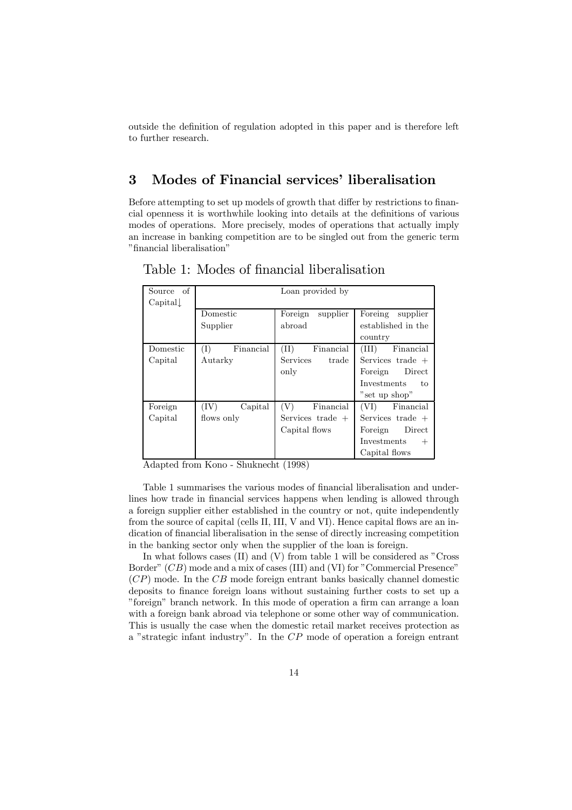outside the definition of regulation adopted in this paper and is therefore left to further research.

## 3 Modes of Financial services' liberalisation

Before attempting to set up models of growth that differ by restrictions to financial openness it is worthwhile looking into details at the definitions of various modes of operations. More precisely, modes of operations that actually imply an increase in banking competition are to be singled out from the generic term "financial liberalisation"

| of<br>Source     |                             | Loan provided by    |                          |
|------------------|-----------------------------|---------------------|--------------------------|
| $\text{Capital}$ |                             |                     |                          |
|                  | Domestic                    | supplier<br>Foreign | Foreing<br>supplier      |
|                  | Supplier                    | abroad              | established in the       |
|                  |                             |                     | country                  |
| Domestic         | $(\mathrm{I})$<br>Financial | (II)<br>Financial   | (III)<br>Financial       |
| Capital          | Autarky                     | Services<br>trade   | Services trade $+$       |
|                  |                             | only                | Direct<br>Foreign        |
|                  |                             |                     | <b>Investments</b><br>to |
|                  |                             |                     | "set up shop"            |
| Foreign          | (IV)<br>Capital             | (V)<br>Financial    | (VI)<br>Financial        |
| Capital          | flows only                  | Services trade $+$  | Services trade $+$       |
|                  |                             | Capital flows       | Direct<br>Foreign        |
|                  |                             |                     | Investments<br>$^{+}$    |
|                  |                             |                     | Capital flows            |

Table 1: Modes of financial liberalisation

Adapted from Kono - Shuknecht (1998)

Table 1 summarises the various modes of financial liberalisation and underlines how trade in financial services happens when lending is allowed through a foreign supplier either established in the country or not, quite independently from the source of capital (cells II, III, V and VI). Hence capital flows are an indication of financial liberalisation in the sense of directly increasing competition in the banking sector only when the supplier of the loan is foreign.

In what follows cases  $(II)$  and  $(V)$  from table 1 will be considered as  $C$ ross Border"  $(CB)$  mode and a mix of cases (III) and (VI) for "Commercial Presence"  $(CP)$  mode. In the CB mode foreign entrant banks basically channel domestic deposits to finance foreign loans without sustaining further costs to set up a îforeignî branch network. In this mode of operation a firm can arrange a loan with a foreign bank abroad via telephone or some other way of communication. This is usually the case when the domestic retail market receives protection as a "strategic infant industry". In the  $\mathbb{CP}$  mode of operation a foreign entrant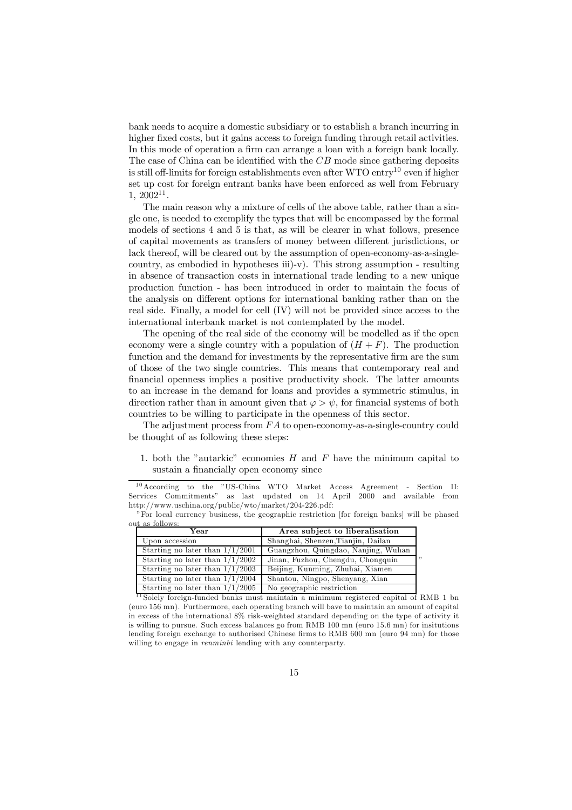bank needs to acquire a domestic subsidiary or to establish a branch incurring in higher fixed costs, but it gains access to foreign funding through retail activities. In this mode of operation a firm can arrange a loan with a foreign bank locally. The case of China can be identified with the CB mode since gathering deposits is still off-limits for foreign establishments even after  $WTO$  entry<sup>10</sup> even if higher set up cost for foreign entrant banks have been enforced as well from February  $1, 2002^{11}.$ 

The main reason why a mixture of cells of the above table, rather than a single one, is needed to exemplify the types that will be encompassed by the formal models of sections 4 and 5 is that, as will be clearer in what follows, presence of capital movements as transfers of money between different jurisdictions, or lack thereof, will be cleared out by the assumption of open-economy-as-a-singlecountry, as embodied in hypotheses iii)-v). This strong assumption - resulting in absence of transaction costs in international trade lending to a new unique production function - has been introduced in order to maintain the focus of the analysis on different options for international banking rather than on the real side. Finally, a model for cell (IV) will not be provided since access to the international interbank market is not contemplated by the model.

The opening of the real side of the economy will be modelled as if the open economy were a single country with a population of  $(H + F)$ . The production function and the demand for investments by the representative firm are the sum of those of the two single countries. This means that contemporary real and financial openness implies a positive productivity shock. The latter amounts to an increase in the demand for loans and provides a symmetric stimulus, in direction rather than in amount given that  $\varphi > \psi$ , for financial systems of both countries to be willing to participate in the openness of this sector.

The adjustment process from  $FA$  to open-economy-as-a-single-country could be thought of as following these steps:

1. both the "autarkic" economies  $H$  and  $F$  have the minimum capital to sustain a financially open economy since

 $\ddot{\phantom{0}}$ 

| п аз юшомз.                       |                                     |  |  |
|-----------------------------------|-------------------------------------|--|--|
| Year                              | Area subject to liberalisation      |  |  |
| Upon accession                    | Shanghai, Shenzen, Tianjin, Dailan  |  |  |
| Starting no later than $1/1/2001$ | Guangzhou, Quingdao, Nanjing, Wuhan |  |  |
| Starting no later than $1/1/2002$ | Jinan, Fuzhou, Chengdu, Chongquin   |  |  |
| Starting no later than $1/1/2003$ | Beijing, Kunming, Zhuhai, Xiamen    |  |  |
| Starting no later than $1/1/2004$ | Shantou, Ningpo, Shenyang, Xian     |  |  |
| Starting no later than $1/1/2005$ | No geographic restriction           |  |  |

<sup>&</sup>lt;sup>11</sup> Solely foreign-funded banks must maintain a minimum registered capital of RMB 1 bn (euro 156 mn). Furthermore, each operating branch will bave to maintain an amount of capital in excess of the international 8% risk-weighted standard depending on the type of activity it is willing to pursue. Such excess balances go from RMB 100 mn (euro 15.6 mn) for insitutions lending foreign exchange to authorised Chinese firms to RMB 600 mn (euro 94 mn) for those willing to engage in *renminhi* lending with any counterparty.

<sup>&</sup>lt;sup>10</sup> According to the "US-China WTO Market Access Agreement - Section II: Services Commitmentsî as last updated on 14 April 2000 and available from http://www.uschina.org/public/wto/market/204-226.pdf:

îFor local currency business, the geographic restriction [for foreign banks] will be phased  $\omega$ <sup>t</sup> as follows: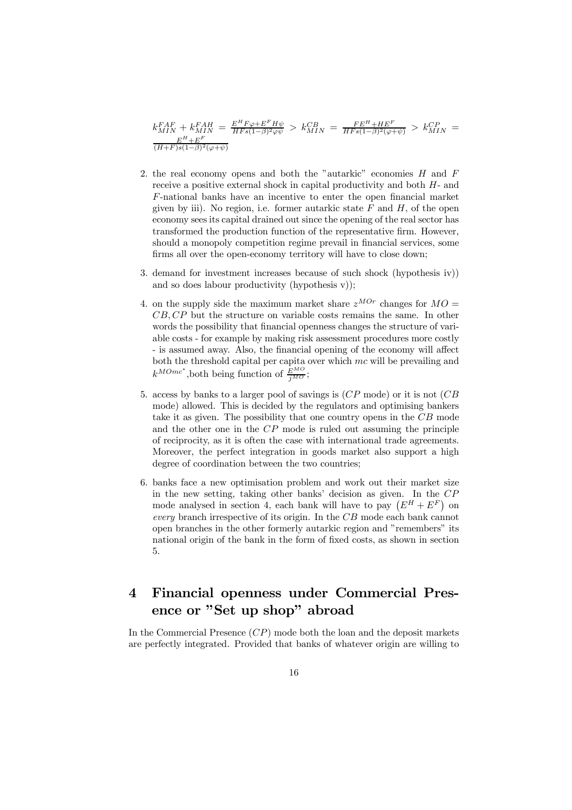$$
k_{MIN}^{FAF}+k_{MIN}^{FAH}=\frac{E^H F \varphi +E^F H \psi}{H F s (1-\beta)^2 \varphi \psi} > k_{MIN}^{CB}=\frac{FE^H +HE^F}{H F s (1-\beta)^2 (\varphi +\psi)} > k_{MIN}^{CP}=\frac{E^H +E^F}{(H+F) s (1-\beta)^2 (\varphi +\psi)}
$$

- 2. the real economy opens and both the "autarkic" economies  $H$  and  $F$ receive a positive external shock in capital productivity and both H- and F-national banks have an incentive to enter the open financial market given by iii). No region, i.e. former autarkic state  $F$  and  $H$ , of the open economy sees its capital drained out since the opening of the real sector has transformed the production function of the representative firm. However, should a monopoly competition regime prevail in financial services, some firms all over the open-economy territory will have to close down;
- 3. demand for investment increases because of such shock (hypothesis iv)) and so does labour productivity (hypothesis v));
- 4. on the supply side the maximum market share  $z^{MOr}$  changes for  $MO =$ CB, CP but the structure on variable costs remains the same. In other words the possibility that financial openness changes the structure of variable costs - for example by making risk assessment procedures more costly - is assumed away. Also, the financial opening of the economy will affect both the threshold capital per capita over which  $mc$  will be prevailing and  $k^{MOmc^*}$ , both being function of  $\frac{E^{MO}}{j^{MO}}$ ;
- 5. access by banks to a larger pool of savings is (CP mode) or it is not (CB mode) allowed. This is decided by the regulators and optimising bankers take it as given. The possibility that one country opens in the CB mode and the other one in the CP mode is ruled out assuming the principle of reciprocity, as it is often the case with international trade agreements. Moreover, the perfect integration in goods market also support a high degree of coordination between the two countries;
- 6. banks face a new optimisation problem and work out their market size in the new setting, taking other banks' decision as given. In the  $CP$ mode analysed in section 4, each bank will have to pay  $(E^H + E^F)$  on every branch irrespective of its origin. In the CB mode each bank cannot open branches in the other formerly autarkic region and "remembers" its national origin of the bank in the form of fixed costs, as shown in section 5.

## 4 Financial openness under Commercial Presence or "Set up shop" abroad

In the Commercial Presence  $(CP)$  mode both the loan and the deposit markets are perfectly integrated. Provided that banks of whatever origin are willing to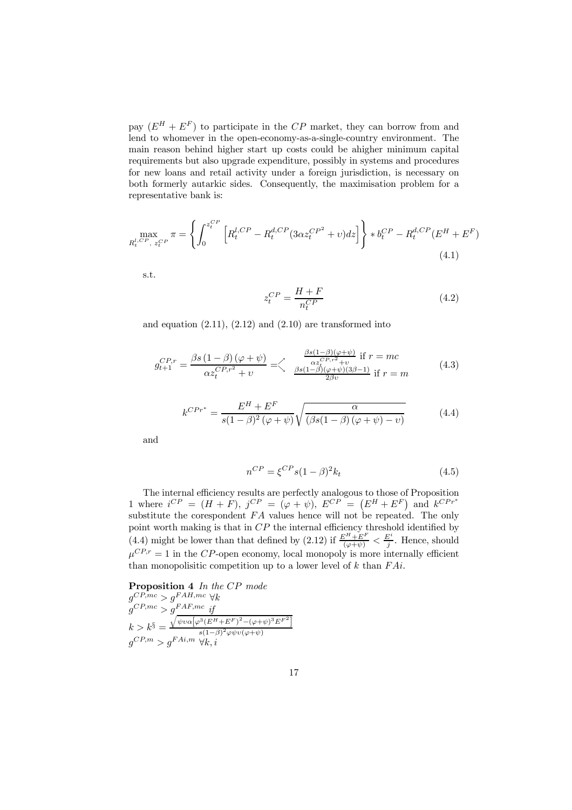pay  $(E^H + E^F)$  to participate in the CP market, they can borrow from and lend to whomever in the open-economy-as-a-single-country environment. The main reason behind higher start up costs could be ahigher minimum capital requirements but also upgrade expenditure, possibly in systems and procedures for new loans and retail activity under a foreign jurisdiction, is necessary on both formerly autarkic sides. Consequently, the maximisation problem for a representative bank is:

$$
\max_{R_t^{l,CP}, z_t^{CP}} \pi = \left\{ \int_0^{z_t^{CP}} \left[ R_t^{l,CP} - R_t^{d,CP} (3\alpha z_t^{CP^2} + v) dz \right] \right\} * b_t^{CP} - R_t^{d,CP} (E^H + E^F) \tag{4.1}
$$

s.t.

$$
z_t^{CP} = \frac{H+F}{n_t^{CP}}\tag{4.2}
$$

and equation  $(2.11)$ ,  $(2.12)$  and  $(2.10)$  are transformed into

$$
g_{t+1}^{CP,r} = \frac{\beta s \left(1 - \beta\right) \left(\varphi + \psi\right)}{\alpha z_t^{CP,r^2} + v} = \begin{cases} \frac{\beta s \left(1 - \beta\right) \left(\varphi + \psi\right)}{\alpha z_t^{CP,r^2} + v} & \text{if } r = mc\\ \frac{\beta s \left(1 - \beta\right) \left(\varphi + \psi\right) \left(3\beta - 1\right)}{2\beta v} & \text{if } r = m \end{cases} \tag{4.3}
$$

$$
k^{CPr^*} = \frac{E^H + E^F}{s(1 - \beta)^2 (\varphi + \psi)} \sqrt{\frac{\alpha}{(\beta s(1 - \beta)(\varphi + \psi) - v)}}
$$
(4.4)

and

$$
n^{CP} = \xi^{CP} s (1 - \beta)^2 k_t \tag{4.5}
$$

The internal efficiency results are perfectly analogous to those of Proposition 1 where  $i^{CP} = (H + F), j^{CP} = (\varphi + \psi), E^{CP} = (E^H + E^F)$  and  $k^{CPr^*}$ substitute the corespondent  $FA$  values hence will not be repeated. The only point worth making is that in  $CP$  the internal efficiency threshold identified by (4.4) might be lower than that defined by (2.12) if  $\frac{E^H + E^F}{(\varphi + \psi)} < \frac{E^i}{j}$ . Hence, should  $\mu^{CP,r} = 1$  in the CP-open economy, local monopoly is more internally efficient than monopolisitic competition up to a lower level of  $k$  than  $FAi$ .

**Proposition 4** In the CP mode<br> $g^{CP, mc} > g^{FAH, mc} \forall k$  $g^{CP,mc} > g^{FAH,mc} \; \forall k$  $g^{CP,mc} > g^{FAF,mc}$  if  $k>k^{\S} =$  $\sqrt{\psi v \alpha \big[\varphi^3 (E^H+E^F)^2-(\varphi+\psi)^3 E^{F^2}\big]}$  $s(1-\beta)^2\varphi\psi v(\varphi+\psi)$  $g^{CP,m} > g^{FAi,m} \ \forall k,i$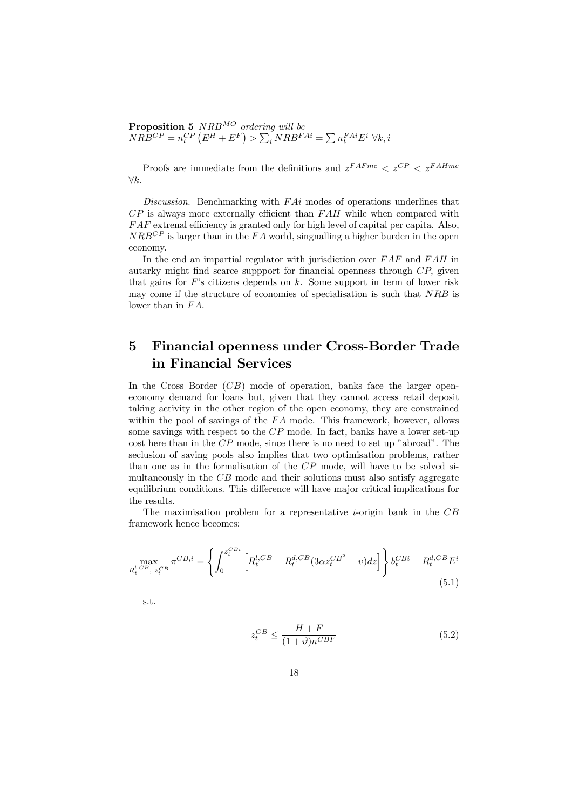**Proposition 5**  $NRB^{MO}$  ordering will be  $NRB^{CP} = n_t^{CP} (E^H + E^F) > \sum_i NRB^{FAi} = \sum n_t^{FAi} E^i \ \forall k, i$ 

Proofs are immediate from the definitions and  $z^{FAFmc} < z^{CP} < z^{FAHmc}$  $∀k.$ 

Discussion. Benchmarking with  $FAi$  modes of operations underlines that  $CP$  is always more externally efficient than  $FAH$  while when compared with  $FAF$  extrenal efficiency is granted only for high level of capital per capita. Also,  $NRB^{CP}$  is larger than in the  $FA$  world, singnalling a higher burden in the open economy.

In the end an impartial regulator with jurisdiction over  $FAF$  and  $FAH$  in autarky might find scarce suppport for financial openness through CP, given that gains for  $F$ 's citizens depends on  $k$ . Some support in term of lower risk may come if the structure of economies of specialisation is such that NRB is lower than in  $FA$ .

## 5 Financial openness under Cross-Border Trade in Financial Services

In the Cross Border (CB) mode of operation, banks face the larger openeconomy demand for loans but, given that they cannot access retail deposit taking activity in the other region of the open economy, they are constrained within the pool of savings of the FA mode. This framework, however, allows some savings with respect to the CP mode. In fact, banks have a lower set-up cost here than in the  $CP$  mode, since there is no need to set up "abroad". The seclusion of saving pools also implies that two optimisation problems, rather than one as in the formalisation of the CP mode, will have to be solved simultaneously in the CB mode and their solutions must also satisfy aggregate equilibrium conditions. This difference will have major critical implications for the results.

The maximisation problem for a representative *i*-origin bank in the  $CB$ framework hence becomes:

$$
\max_{R_t^{l, CB}, z_t^{CB}} \pi^{CB, i} = \left\{ \int_0^{z_t^{CBi}} \left[ R_t^{l, CB} - R_t^{d, CB} (3\alpha z_t^{CB^2} + v) dz \right] \right\} b_t^{CBi} - R_t^{d, CB} E^i
$$
\n(5.1)

s.t.

$$
z_t^{CB} \le \frac{H+F}{(1+\vartheta)n^{CBF}}\tag{5.2}
$$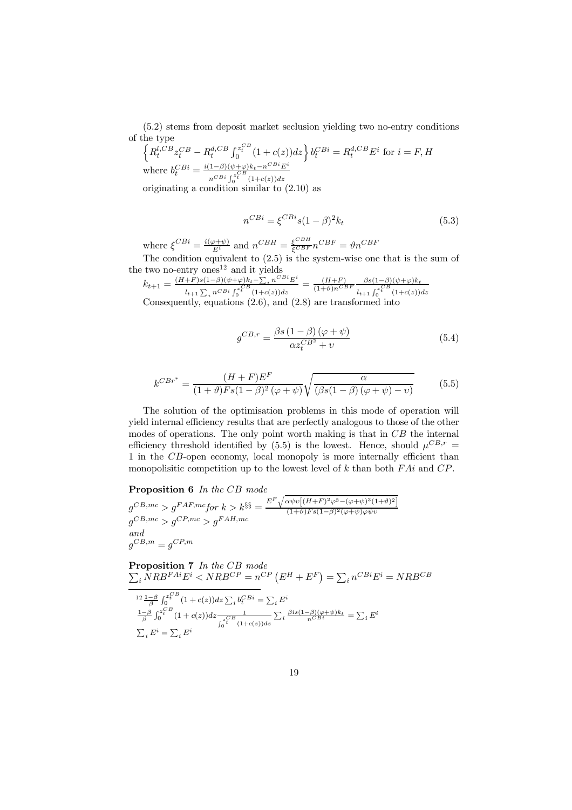(5.2) stems from deposit market seclusion yielding two no-entry conditions of the type

$$
\left\{ R_t^{l, CB} z_t^{CB} - R_t^{d, CB} \int_0^{z_t^{CB}} (1 + c(z)) dz \right\} b_t^{CBi} = R_t^{d, CB} E^i \text{ for } i = F, H
$$
  
where  $b_t^{CBi} = \frac{i(1-\beta)(\psi + \varphi)k_t - n^{CBi} E^i}{n^{CBi} \int_0^{z_t^{CB}} (1 + c(z)) dz}$   
originating a condition similar to (2.10) as

originating a condition similar to  $(2.10)$ 

$$
n^{CBi} = \xi^{CBi} s (1 - \beta)^2 k_t \tag{5.3}
$$

where  $\xi^{CBi} = \frac{i(\varphi + \psi)}{E^i}$  and  $n^{CBH} = \frac{\xi^{CBH}}{\xi^{CBF}} n^{CBF} = \vartheta n^{CBF}$ 

The condition equivalent to  $(2.5)$  is the system-wise one that is the sum of the two no-entry  $\mathrm{ones^{12}}$  and it yields

$$
k_{t+1} = \frac{(H+F)s(1-\beta)(\psi+\varphi)k_t - \sum_i n^{CBi} E^i}{l_{t+1} \sum_i n^{CBi} \int_0^{2B} (1+c(z))dz} = \frac{(H+F)}{(1+\vartheta)n^{CBF}} \frac{\beta s(1-\beta)(\psi+\varphi)k_t}{l_{t+1} \int_0^{2CB} (1+c(z))dz}
$$
  
Consequently, equations (2.6), and (2.8) are transformed into

$$
g^{CB,r} = \frac{\beta s \left(1 - \beta\right) \left(\varphi + \psi\right)}{\alpha z_t^{CB^2} + v} \tag{5.4}
$$

$$
k^{CBr^*} = \frac{(H+F)E^F}{(1+\vartheta)Fs(1-\beta)^2(\varphi+\psi)}\sqrt{\frac{\alpha}{(\beta s(1-\beta)(\varphi+\psi)-v)}}\tag{5.5}
$$

The solution of the optimisation problems in this mode of operation will yield internal efficiency results that are perfectly analogous to those of the other modes of operations. The only point worth making is that in  $CB$  the internal efficiency threshold identified by (5.5) is the lowest. Hence, should  $\mu^{CB,r}$  = 1 in the CB-open economy, local monopoly is more internally efficient than monopolisitic competition up to the lowest level of  $k$  than both  $FAi$  and  $CP$ .

#### Proposition 6 In the CB mode

 $g^{CB,mc} > g^{FAF,mc}$  for  $k > k^{\S\S} = \frac{E^F \sqrt{\alpha \psi v [(H+F)^2 \varphi^3 - (\varphi + \psi)^3 (1+\vartheta)^2]}}{(1+\vartheta)Fs(1-\vartheta)^2 \varphi^2}$  $g^{CB,mc} > g^{CP,mc} > g^{FAH,mc}$  (1+ $\vartheta$ )Fs(1- $\beta$ )<sup>2</sup>( $\varphi$ + $\psi$ ) $\varphi \psi v$ and  $g^{CB,m} = g^{CP,m}$ 

Proposition 7  $\sum$ In the CB mode  $i_l NRB^{FAi}E^i < NRB^{CP} = n^{CP} (E^H + E^F) = \sum_i n^{CBi}E^i = NRB^{CBi}$  $^{12}\frac{1-\beta}{\beta}\int_0^{z^{CB}_t}(1+c(z))dz\sum_ib_t^{CBi}=\sum_iE^i$  $\frac{1-\beta}{\beta}\int_0^{z_t^{CB}}(1+c(z))dz \frac{1}{\int_0^{z_t^{CB}}(1+c(z))dz}$  $\sum_i \frac{\beta is(1-\beta)(\varphi + \psi)k_t}{n^{CBi}} = \sum_i E^i$  $\sum_i E^i = \sum_i E^i$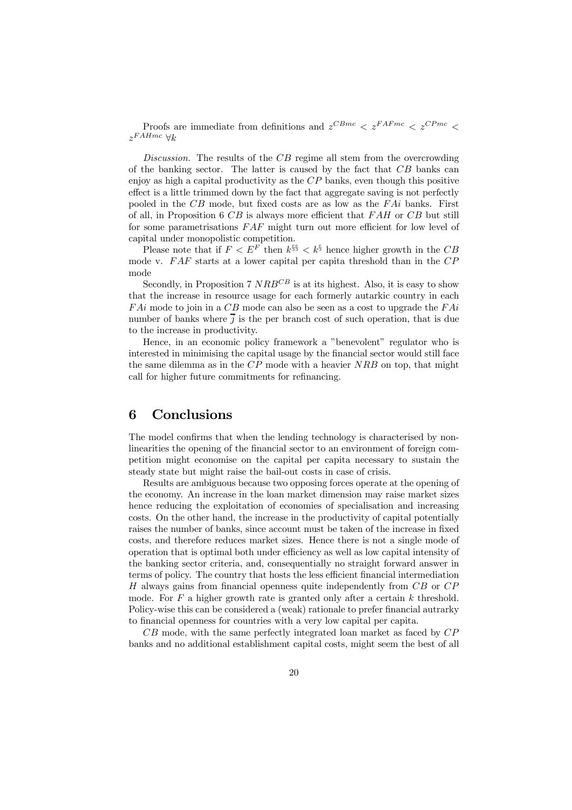Proofs are immediate from definitions and  $z^{CBmc} < z^{FAFmc} < z^{CPmc} <$  $z^{FAHmc}$   $\forall k$ 

Discussion. The results of the CB regime all stem from the overcrowding of the banking sector. The latter is caused by the fact that  $CB$  banks can enjoy as high a capital productivity as the  $\overline{CP}$  banks, even though this positive effect is a little trimmed down by the fact that aggregate saving is not perfectly pooled in the  $CB$  mode, but fixed costs are as low as the  $FAi$  banks. First of all, in Proposition 6  $CB$  is always more efficient that  $FAH$  or  $CB$  but still for some parametrisations  $FAF$  might turn out more efficient for low level of capital under monopolistic competition.

Please note that if  $F < E^F$  then  $k^{\S\S} < k^{\S}$  hence higher growth in the CB mode v.  $FAF$  starts at a lower capital per capita threshold than in the  $CP$ mode

Secondly, in Proposition 7  $NRB^{CB}$  is at its highest. Also, it is easy to show that the increase in resource usage for each formerly autarkic country in each  $FAi$  mode to join in a  $CB$  mode can also be seen as a cost to upgrade the  $FAi$ number of banks where  $\overline{j}$  is the per branch cost of such operation, that is due to the increase in productivity.

Hence, in an economic policy framework a "benevolent" regulator who is interested in minimising the capital usage by the financial sector would still face the same dilemma as in the CP mode with a heavier NRB on top, that might call for higher future commitments for refinancing.

### 6 Conclusions

The model confirms that when the lending technology is characterised by nonlinearities the opening of the financial sector to an environment of foreign competition might economise on the capital per capita necessary to sustain the steady state but might raise the bail-out costs in case of crisis.

Results are ambiguous because two opposing forces operate at the opening of the economy. An increase in the loan market dimension may raise market sizes hence reducing the exploitation of economies of specialisation and increasing costs. On the other hand, the increase in the productivity of capital potentially raises the number of banks, since account must be taken of the increase in fixed costs, and therefore reduces market sizes. Hence there is not a single mode of operation that is optimal both under efficiency as well as low capital intensity of the banking sector criteria, and, consequentially no straight forward answer in terms of policy. The country that hosts the less efficient financial intermediation H always gains from financial openness quite independently from CB or CP mode. For  $F$  a higher growth rate is granted only after a certain  $k$  threshold. Policy-wise this can be considered a (weak) rationale to prefer financial autrarky to financial openness for countries with a very low capital per capita.

 $CB$  mode, with the same perfectly integrated loan market as faced by  $CP$ banks and no additional establishment capital costs, might seem the best of all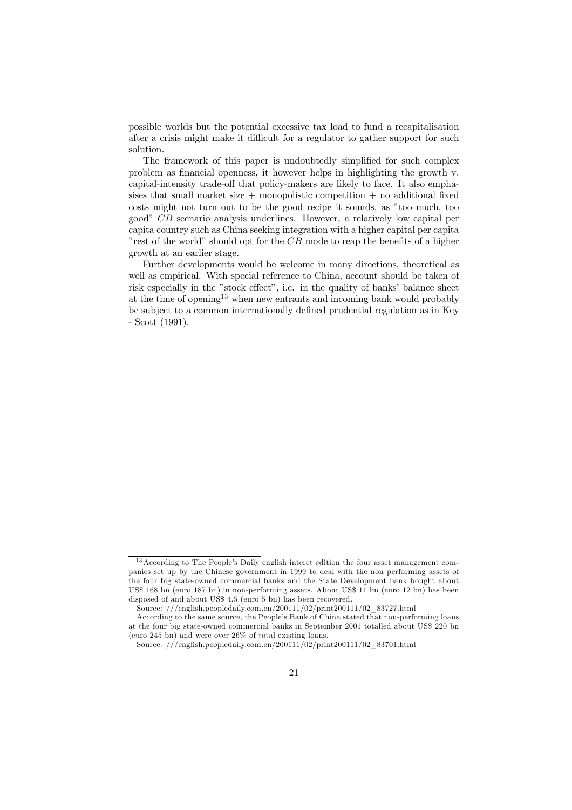possible worlds but the potential excessive tax load to fund a recapitalisation after a crisis might make it difficult for a regulator to gather support for such solution.

The framework of this paper is undoubtedly simplified for such complex problem as financial openness, it however helps in highlighting the growth v. capital-intensity trade-off that policy-makers are likely to face. It also emphasises that small market size  $+$  monopolistic competition  $+$  no additional fixed costs might not turn out to be the good recipe it sounds, as "too much, too goodî CB scenario analysis underlines. However, a relatively low capital per capita country such as China seeking integration with a higher capital per capita "rest of the world" should opt for the  $CB$  mode to reap the benefits of a higher growth at an earlier stage.

Further developments would be welcome in many directions, theoretical as well as empirical. With special reference to China, account should be taken of risk especially in the "stock effect", i.e. in the quality of banks' balance sheet at the time of opening<sup>13</sup> when new entrants and incoming bank would probably be subject to a common internationally defined prudential regulation as in Key - Scott (1991).

 $13$  According to The People's Daily english interet edition the four asset management companies set up by the Chinese government in 1999 to deal with the non performing assets of the four big state-owned commercial banks and the State Development bank bought about US\$ 168 bn (euro 187 bn) in non-performing assets. About US\$ 11 bn (euro 12 bn) has been disposed of and about US\$ 4.5 (euro 5 bn) has been recovered.

Source:  $//\text{english},\text{peopledaily}.\text{com}.\text{cn}/200111/02/\text{print200111}/02\_83727.\text{html}$ 

According to the same source, the People's Bank of China stated that non-performing loans at the four big state-owned commercial banks in September 2001 totalled about US\$ 220 bn (euro 245 bn) and were over 26% of total existing loans.

Source: ///english.peopledaily.com.cn/200111/02/print200111/02\_83701.html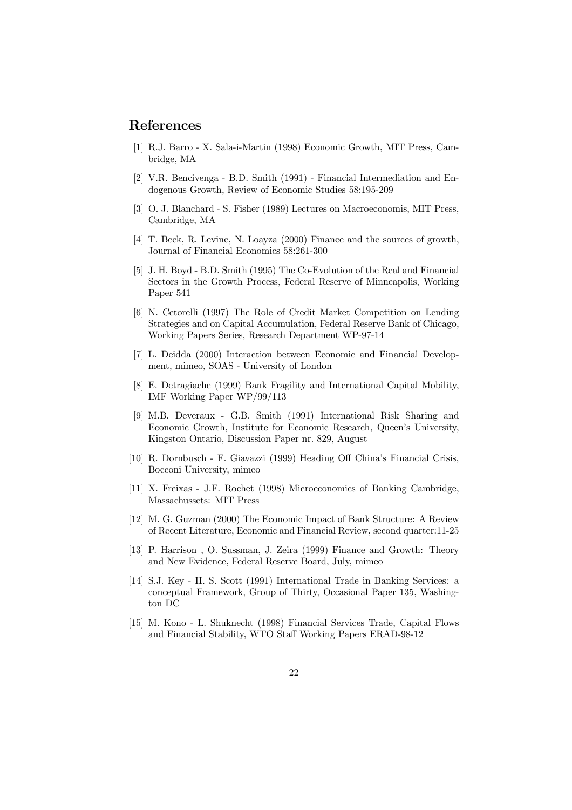## References

- [1] R.J. Barro X. Sala-i-Martin (1998) Economic Growth, MIT Press, Cambridge, MA
- [2] V.R. Bencivenga B.D. Smith (1991) Financial Intermediation and Endogenous Growth, Review of Economic Studies 58:195-209
- [3] O. J. Blanchard S. Fisher (1989) Lectures on Macroeconomis, MIT Press, Cambridge, MA
- [4] T. Beck, R. Levine, N. Loayza (2000) Finance and the sources of growth, Journal of Financial Economics 58:261-300
- [5] J. H. Boyd B.D. Smith (1995) The Co-Evolution of the Real and Financial Sectors in the Growth Process, Federal Reserve of Minneapolis, Working Paper 541
- [6] N. Cetorelli (1997) The Role of Credit Market Competition on Lending Strategies and on Capital Accumulation, Federal Reserve Bank of Chicago, Working Papers Series, Research Department WP-97-14
- [7] L. Deidda (2000) Interaction between Economic and Financial Development, mimeo, SOAS - University of London
- [8] E. Detragiache (1999) Bank Fragility and International Capital Mobility, IMF Working Paper WP/99/113
- [9] M.B. Deveraux G.B. Smith (1991) International Risk Sharing and Economic Growth, Institute for Economic Research, Queen's University, Kingston Ontario, Discussion Paper nr. 829, August
- [10] R. Dornbusch F. Giavazzi (1999) Heading Off Chinaís Financial Crisis, Bocconi University, mimeo
- [11] X. Freixas J.F. Rochet (1998) Microeconomics of Banking Cambridge, Massachussets: MIT Press
- [12] M. G. Guzman (2000) The Economic Impact of Bank Structure: A Review of Recent Literature, Economic and Financial Review, second quarter:11-25
- [13] P. Harrison , O. Sussman, J. Zeira (1999) Finance and Growth: Theory and New Evidence, Federal Reserve Board, July, mimeo
- [14] S.J. Key H. S. Scott (1991) International Trade in Banking Services: a conceptual Framework, Group of Thirty, Occasional Paper 135, Washington DC
- [15] M. Kono L. Shuknecht (1998) Financial Services Trade, Capital Flows and Financial Stability, WTO Staff Working Papers ERAD-98-12